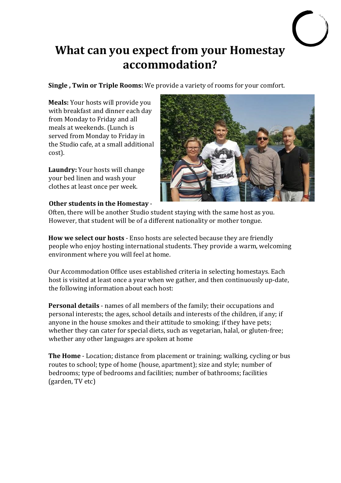## **What can you expect from your Homestay accommodation?**

**Single**, Twin or Triple Rooms: We provide a variety of rooms for your comfort.

**Meals:** Your hosts will provide you with breakfast and dinner each dav from Monday to Friday and all meals at weekends. (Lunch is served from Monday to Friday in the Studio cafe, at a small additional cost). 

**Laundry:** Your hosts will change your bed linen and wash your clothes at least once per week.



## **Other students in the Homestay -**

Often, there will be another Studio student staving with the same host as you. However, that student will be of a different nationality or mother tongue.

**How we select our hosts** - Enso hosts are selected because they are friendly people who enjoy hosting international students. They provide a warm, welcoming environment where you will feel at home.

Our Accommodation Office uses established criteria in selecting homestays. Each host is visited at least once a year when we gather, and then continuously up-date, the following information about each host:

**Personal details** - names of all members of the family; their occupations and personal interests; the ages, school details and interests of the children, if any; if anyone in the house smokes and their attitude to smoking; if they have pets; whether they can cater for special diets, such as vegetarian, halal, or gluten-free; whether any other languages are spoken at home

**The Home** - Location; distance from placement or training; walking, cycling or bus routes to school; type of home (house, apartment); size and style; number of bedrooms; type of bedrooms and facilities; number of bathrooms; facilities (garden, TV etc)